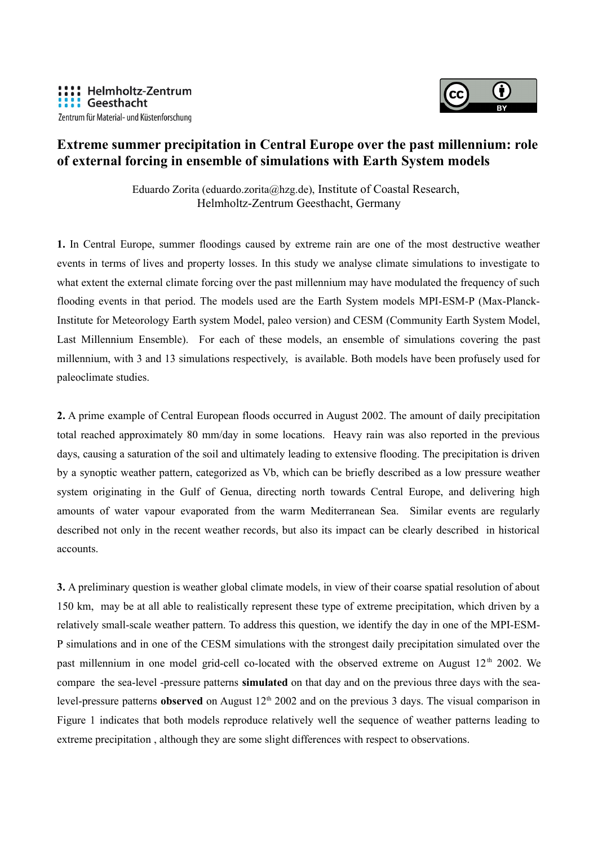

## **Extreme summer precipitation in Central Europe over the past millennium: role of external forcing in ensemble of simulations with Earth System models**

Eduardo Zorita (eduardo.zorita@hzg.de), Institute of Coastal Research, Helmholtz-Zentrum Geesthacht, Germany

**1.** In Central Europe, summer floodings caused by extreme rain are one of the most destructive weather events in terms of lives and property losses. In this study we analyse climate simulations to investigate to what extent the external climate forcing over the past millennium may have modulated the frequency of such flooding events in that period. The models used are the Earth System models MPI-ESM-P (Max-Planck-Institute for Meteorology Earth system Model, paleo version) and CESM (Community Earth System Model, Last Millennium Ensemble). For each of these models, an ensemble of simulations covering the past millennium, with 3 and 13 simulations respectively, is available. Both models have been profusely used for paleoclimate studies.

**2.** A prime example of Central European floods occurred in August 2002. The amount of daily precipitation total reached approximately 80 mm/day in some locations. Heavy rain was also reported in the previous days, causing a saturation of the soil and ultimately leading to extensive flooding. The precipitation is driven by a synoptic weather pattern, categorized as Vb, which can be briefly described as a low pressure weather system originating in the Gulf of Genua, directing north towards Central Europe, and delivering high amounts of water vapour evaporated from the warm Mediterranean Sea. Similar events are regularly described not only in the recent weather records, but also its impact can be clearly described in historical accounts.

**3.** A preliminary question is weather global climate models, in view of their coarse spatial resolution of about 150 km, may be at all able to realistically represent these type of extreme precipitation, which driven by a relatively small-scale weather pattern. To address this question, we identify the day in one of the MPI-ESM-P simulations and in one of the CESM simulations with the strongest daily precipitation simulated over the past millennium in one model grid-cell co-located with the observed extreme on August 12<sup>th</sup> 2002. We compare the sea-level -pressure patterns **simulated** on that day and on the previous three days with the sealevel-pressure patterns **observed** on August 12<sup>th</sup> 2002 and on the previous 3 days. The visual comparison in Figure 1 indicates that both models reproduce relatively well the sequence of weather patterns leading to extreme precipitation , although they are some slight differences with respect to observations.